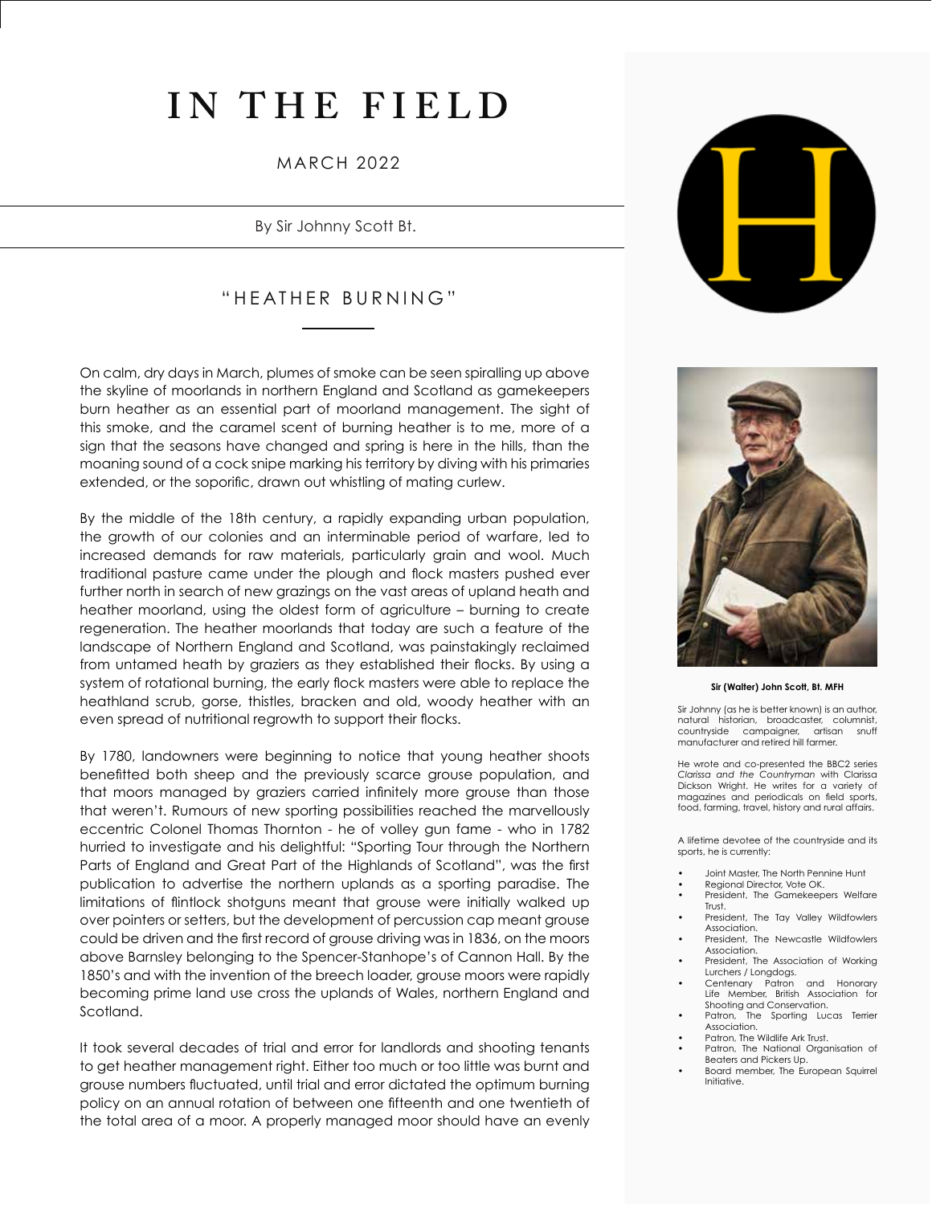# **IN THE FIELD**

### MARCH 2022

By Sir Johnny Scott Bt.

## "HEATHER BURNING"

On calm, dry days in March, plumes of smoke can be seen spiralling up above the skyline of moorlands in northern England and Scotland as gamekeepers burn heather as an essential part of moorland management. The sight of this smoke, and the caramel scent of burning heather is to me, more of a sign that the seasons have changed and spring is here in the hills, than the moaning sound of a cock snipe marking his territory by diving with his primaries extended, or the soporific, drawn out whistling of mating curlew.

By the middle of the 18th century, a rapidly expanding urban population, the growth of our colonies and an interminable period of warfare, led to increased demands for raw materials, particularly grain and wool. Much traditional pasture came under the plough and flock masters pushed ever further north in search of new grazings on the vast areas of upland heath and heather moorland, using the oldest form of agriculture – burning to create regeneration. The heather moorlands that today are such a feature of the landscape of Northern England and Scotland, was painstakingly reclaimed from untamed heath by graziers as they established their flocks. By using a system of rotational burning, the early flock masters were able to replace the heathland scrub, gorse, thistles, bracken and old, woody heather with an even spread of nutritional regrowth to support their flocks.

By 1780, landowners were beginning to notice that young heather shoots benefitted both sheep and the previously scarce grouse population, and that moors managed by graziers carried infinitely more grouse than those that weren't. Rumours of new sporting possibilities reached the marvellously eccentric Colonel Thomas Thornton - he of volley gun fame - who in 1782 hurried to investigate and his delightful: "Sporting Tour through the Northern Parts of England and Great Part of the Highlands of Scotland", was the first publication to advertise the northern uplands as a sporting paradise. The limitations of flintlock shotguns meant that grouse were initially walked up over pointers or setters, but the development of percussion cap meant grouse could be driven and the first record of grouse driving was in 1836, on the moors above Barnsley belonging to the Spencer-Stanhope's of Cannon Hall. By the 1850's and with the invention of the breech loader, grouse moors were rapidly becoming prime land use cross the uplands of Wales, northern England and Scotland.

It took several decades of trial and error for landlords and shooting tenants to get heather management right. Either too much or too little was burnt and grouse numbers fluctuated, until trial and error dictated the optimum burning policy on an annual rotation of between one fifteenth and one twentieth of the total area of a moor. A properly managed moor should have an evenly





**Sir (Walter) John Scott, Bt. MFH**

Sir Johnny (as he is better known) is an author, natural historian, broadcaster, columnist, countryside campaigner, manufacturer and retired hill farmer.

He wrote and co-presented the BBC2 series *Clarissa and the Countryman* with Clarissa Dickson Wright. He writes for a variety of magazines and periodicals on field sports, food, farming, travel, history and rural affairs.

A lifetime devotee of the countryside and its sports, he is currently:

- Joint Master, The North Pennine Hunt
- Regional Director, Vote OK.
- President, The Gamekeepers Welfare Trust.
- President, The Tay Valley Wildfowlers Association.
- President, The Newcastle Wildfowlers Association.
- President, The Association of Working Lurchers / Longdogs.
- Centenary Patron and Honorary Life Member, British Association for Shooting and Conservation.<br>Patron, The Sporting Lux
- The Sporting Lucas Terrier Association.
- Patron, The Wildlife Ark Trust.
- Patron, The National Organisation of Beaters and Pickers Up.
- Board member, The European Squirrel Initiative.